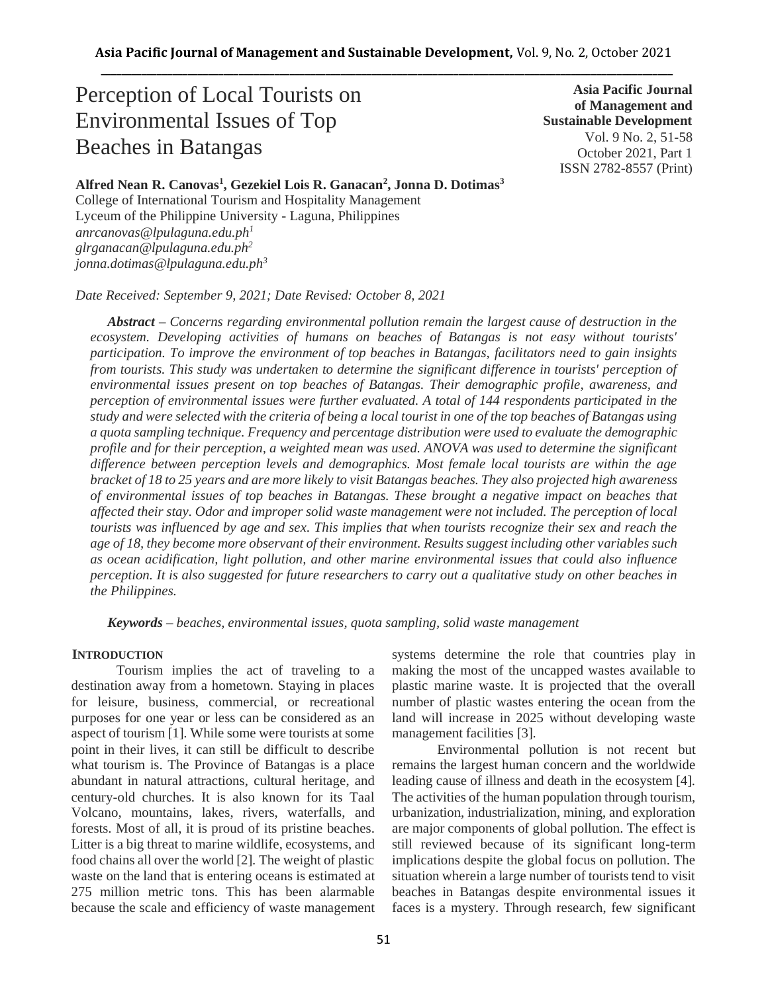# Perception of Local Tourists on Environmental Issues of Top Beaches in Batangas

**Asia Pacific Journal of Management and Sustainable Development**  Vol. 9 No. 2, 51-58 October 2021, Part 1 ISSN 2782-8557 (Print)

# **Alfred Nean R. Canovas<sup>1</sup> , Gezekiel Lois R. Ganacan<sup>2</sup> , Jonna D. Dotimas<sup>3</sup>**

College of International Tourism and Hospitality Management Lyceum of the Philippine University - Laguna, Philippines *anrcanovas@lpulaguna.edu.ph<sup>1</sup> glrganacan@lpulaguna.edu.ph<sup>2</sup> jonna.dotimas@lpulaguna.edu.ph<sup>3</sup>*

*Date Received: September 9, 2021; Date Revised: October 8, 2021*

*Abstract – Concerns regarding environmental pollution remain the largest cause of destruction in the ecosystem. Developing activities of humans on beaches of Batangas is not easy without tourists' participation. To improve the environment of top beaches in Batangas, facilitators need to gain insights from tourists. This study was undertaken to determine the significant difference in tourists' perception of environmental issues present on top beaches of Batangas. Their demographic profile, awareness, and perception of environmental issues were further evaluated. A total of 144 respondents participated in the study and were selected with the criteria of being a local tourist in one of the top beaches of Batangas using a quota sampling technique. Frequency and percentage distribution were used to evaluate the demographic profile and for their perception, a weighted mean was used. ANOVA was used to determine the significant difference between perception levels and demographics. Most female local tourists are within the age bracket of 18 to 25 years and are more likely to visit Batangas beaches. They also projected high awareness of environmental issues of top beaches in Batangas. These brought a negative impact on beaches that affected their stay. Odor and improper solid waste management were not included. The perception of local tourists was influenced by age and sex. This implies that when tourists recognize their sex and reach the age of 18, they become more observant of their environment. Results suggest including other variables such as ocean acidification, light pollution, and other marine environmental issues that could also influence perception. It is also suggested for future researchers to carry out a qualitative study on other beaches in the Philippines.*

*Keywords – beaches, environmental issues, quota sampling, solid waste management*

# **INTRODUCTION**

Tourism implies the act of traveling to a destination away from a hometown. Staying in places for leisure, business, commercial, or recreational purposes for one year or less can be considered as an aspect of tourism [1]. While some were tourists at some point in their lives, it can still be difficult to describe what tourism is. The Province of Batangas is a place abundant in natural attractions, cultural heritage, and century-old churches. It is also known for its Taal Volcano, mountains, lakes, rivers, waterfalls, and forests. Most of all, it is proud of its pristine beaches. Litter is a big threat to marine wildlife, ecosystems, and food chains all over the world [2]. The weight of plastic waste on the land that is entering oceans is estimated at 275 million metric tons. This has been alarmable because the scale and efficiency of waste management systems determine the role that countries play in making the most of the uncapped wastes available to plastic marine waste. It is projected that the overall number of plastic wastes entering the ocean from the land will increase in 2025 without developing waste management facilities [3].

Environmental pollution is not recent but remains the largest human concern and the worldwide leading cause of illness and death in the ecosystem [4]. The activities of the human population through tourism, urbanization, industrialization, mining, and exploration are major components of global pollution. The effect is still reviewed because of its significant long-term implications despite the global focus on pollution. The situation wherein a large number of tourists tend to visit beaches in Batangas despite environmental issues it faces is a mystery. Through research, few significant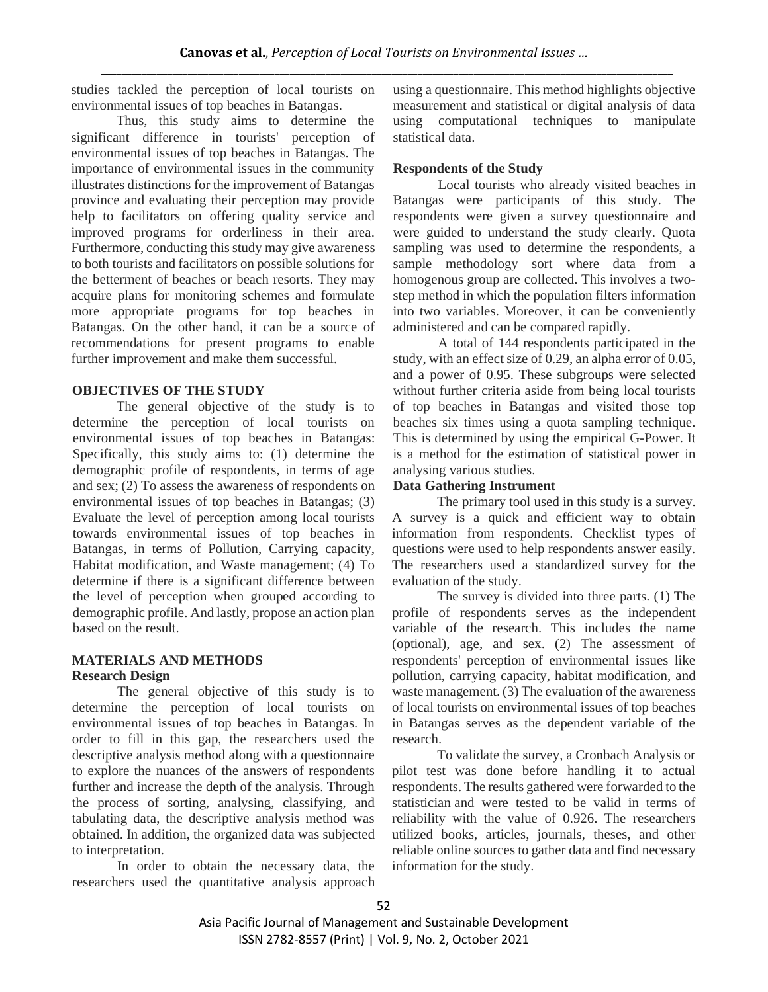studies tackled the perception of local tourists on environmental issues of top beaches in Batangas.

Thus, this study aims to determine the significant difference in tourists' perception of environmental issues of top beaches in Batangas. The importance of environmental issues in the community illustrates distinctions for the improvement of Batangas province and evaluating their perception may provide help to facilitators on offering quality service and improved programs for orderliness in their area. Furthermore, conducting this study may give awareness to both tourists and facilitators on possible solutions for the betterment of beaches or beach resorts. They may acquire plans for monitoring schemes and formulate more appropriate programs for top beaches in Batangas. On the other hand, it can be a source of recommendations for present programs to enable further improvement and make them successful.

# **OBJECTIVES OF THE STUDY**

The general objective of the study is to determine the perception of local tourists on environmental issues of top beaches in Batangas: Specifically, this study aims to: (1) determine the demographic profile of respondents, in terms of age and sex; (2) To assess the awareness of respondents on environmental issues of top beaches in Batangas; (3) Evaluate the level of perception among local tourists towards environmental issues of top beaches in Batangas, in terms of Pollution, Carrying capacity, Habitat modification, and Waste management; (4) To determine if there is a significant difference between the level of perception when grouped according to demographic profile. And lastly, propose an action plan based on the result.

# **MATERIALS AND METHODS Research Design**

The general objective of this study is to determine the perception of local tourists on environmental issues of top beaches in Batangas. In order to fill in this gap, the researchers used the descriptive analysis method along with a questionnaire to explore the nuances of the answers of respondents further and increase the depth of the analysis. Through the process of sorting, analysing, classifying, and tabulating data, the descriptive analysis method was obtained. In addition, the organized data was subjected to interpretation.

In order to obtain the necessary data, the researchers used the quantitative analysis approach using a questionnaire. This method highlights objective measurement and statistical or digital analysis of data using computational techniques to manipulate statistical data.

# **Respondents of the Study**

Local tourists who already visited beaches in Batangas were participants of this study. The respondents were given a survey questionnaire and were guided to understand the study clearly. Quota sampling was used to determine the respondents, a sample methodology sort where data from a homogenous group are collected. This involves a twostep method in which the population filters information into two variables. Moreover, it can be conveniently administered and can be compared rapidly.

A total of 144 respondents participated in the study, with an effect size of 0.29, an alpha error of 0.05, and a power of 0.95. These subgroups were selected without further criteria aside from being local tourists of top beaches in Batangas and visited those top beaches six times using a quota sampling technique. This is determined by using the empirical G-Power. It is a method for the estimation of statistical power in analysing various studies.

# **Data Gathering Instrument**

The primary tool used in this study is a survey. A survey is a quick and efficient way to obtain information from respondents. Checklist types of questions were used to help respondents answer easily. The researchers used a standardized survey for the evaluation of the study.

The survey is divided into three parts. (1) The profile of respondents serves as the independent variable of the research. This includes the name (optional), age, and sex. (2) The assessment of respondents' perception of environmental issues like pollution, carrying capacity, habitat modification, and waste management. (3) The evaluation of the awareness of local tourists on environmental issues of top beaches in Batangas serves as the dependent variable of the research.

To validate the survey, a Cronbach Analysis or pilot test was done before handling it to actual respondents. The results gathered were forwarded to the statistician and were tested to be valid in terms of reliability with the value of 0.926. The researchers utilized books, articles, journals, theses, and other reliable online sources to gather data and find necessary information for the study.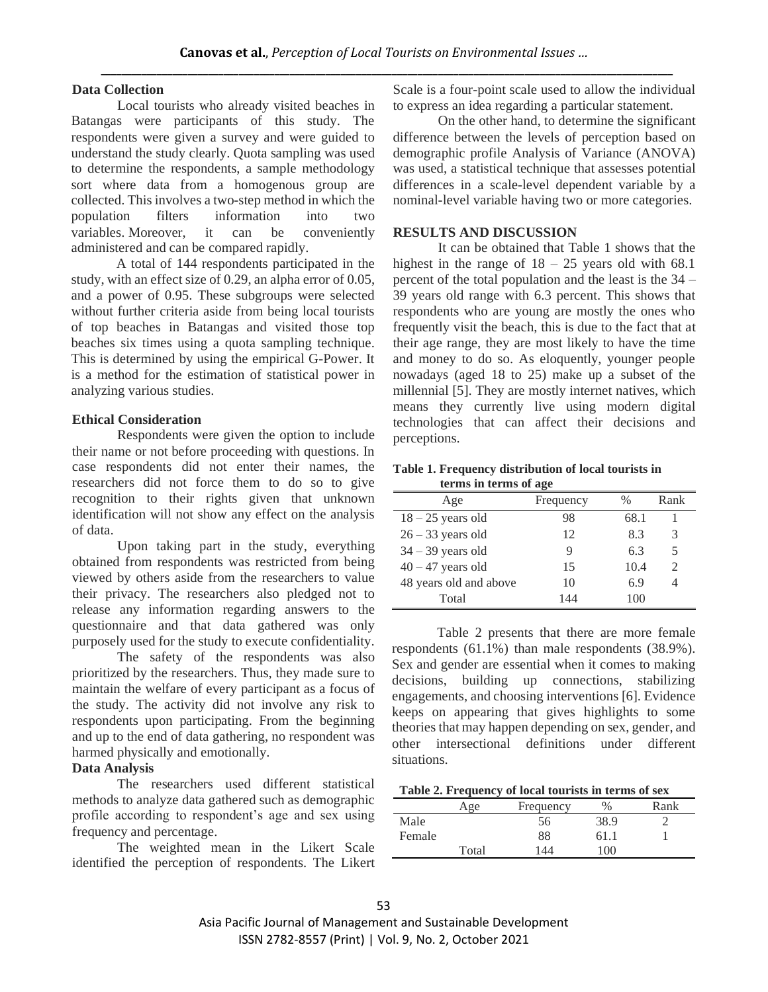### **Data Collection**

Local tourists who already visited beaches in Batangas were participants of this study. The respondents were given a survey and were guided to understand the study clearly. Quota sampling was used to determine the respondents, a sample methodology sort where data from a homogenous group are collected. This involves a two-step method in which the population filters information into two variables. Moreover, it can be conveniently administered and can be compared rapidly.

A total of 144 respondents participated in the study, with an effect size of 0.29, an alpha error of 0.05, and a power of 0.95. These subgroups were selected without further criteria aside from being local tourists of top beaches in Batangas and visited those top beaches six times using a quota sampling technique. This is determined by using the empirical G-Power. It is a method for the estimation of statistical power in analyzing various studies.

# **Ethical Consideration**

Respondents were given the option to include their name or not before proceeding with questions. In case respondents did not enter their names, the researchers did not force them to do so to give recognition to their rights given that unknown identification will not show any effect on the analysis of data.

Upon taking part in the study, everything obtained from respondents was restricted from being viewed by others aside from the researchers to value their privacy. The researchers also pledged not to release any information regarding answers to the questionnaire and that data gathered was only purposely used for the study to execute confidentiality.

The safety of the respondents was also prioritized by the researchers. Thus, they made sure to maintain the welfare of every participant as a focus of the study. The activity did not involve any risk to respondents upon participating. From the beginning and up to the end of data gathering, no respondent was harmed physically and emotionally.

# **Data Analysis**

The researchers used different statistical methods to analyze data gathered such as demographic profile according to respondent's age and sex using frequency and percentage.

The weighted mean in the Likert Scale identified the perception of respondents. The Likert Scale is a four-point scale used to allow the individual to express an idea regarding a particular statement.

On the other hand, to determine the significant difference between the levels of perception based on demographic profile Analysis of Variance (ANOVA) was used, a statistical technique that assesses potential differences in a scale-level dependent variable by a nominal-level variable having two or more categories.

### **RESULTS AND DISCUSSION**

It can be obtained that Table 1 shows that the highest in the range of  $18 - 25$  years old with 68.1 percent of the total population and the least is the 34 – 39 years old range with 6.3 percent. This shows that respondents who are young are mostly the ones who frequently visit the beach, this is due to the fact that at their age range, they are most likely to have the time and money to do so. As eloquently, younger people nowadays (aged 18 to 25) make up a subset of the millennial [5]. They are mostly internet natives, which means they currently live using modern digital technologies that can affect their decisions and perceptions.

**Table 1. Frequency distribution of local tourists in terms in terms of age**

| Age                    | Frequency | $\%$ | Rank |
|------------------------|-----------|------|------|
| $18 - 25$ years old    | 98        | 68.1 |      |
| $26 - 33$ years old    | 12        | 8.3  | 3    |
| $34 - 39$ years old    | Q         | 6.3  | 5    |
| $40 - 47$ years old    | 15        | 10.4 |      |
| 48 years old and above | 10        | 6.9  |      |
| Total                  | 144       | 100  |      |

Table 2 presents that there are more female respondents (61.1%) than male respondents (38.9%). Sex and gender are essential when it comes to making decisions, building up connections, stabilizing engagements, and choosing interventions [6]. Evidence keeps on appearing that gives highlights to some theories that may happen depending on sex, gender, and other intersectional definitions under different situations.

|        | Age   | Frequency | $\%$ | Rank |
|--------|-------|-----------|------|------|
| Male   |       | 56        | 38.9 |      |
| Female |       | 88        | -61. |      |
|        | Total | 44        | 100  |      |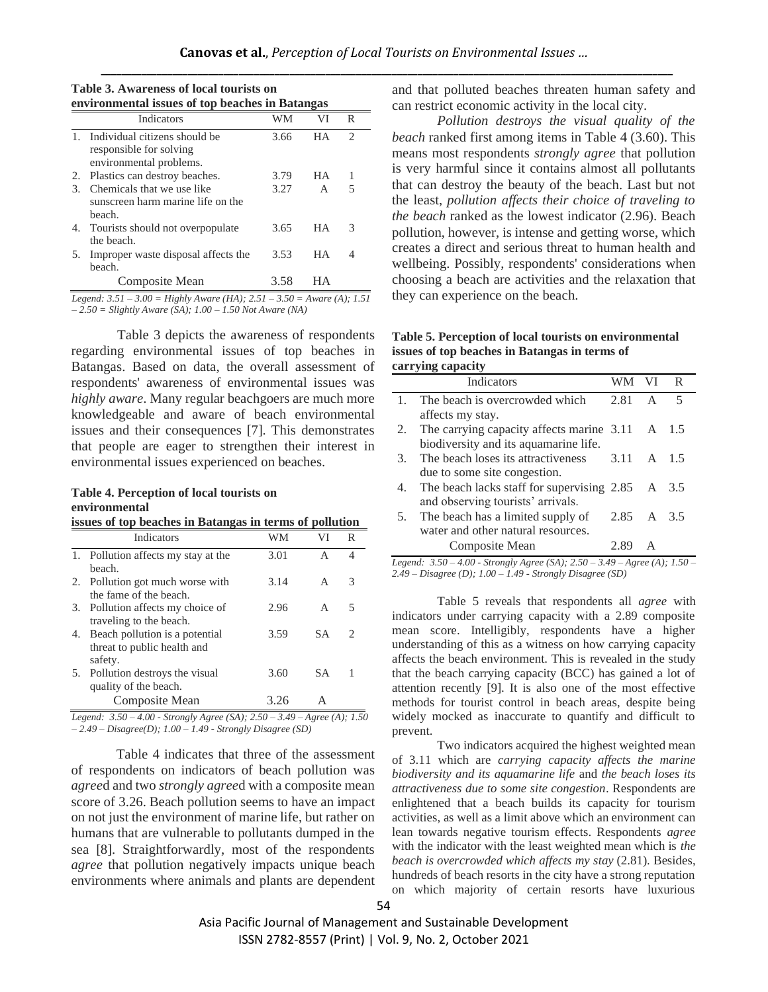| Table 3. Awareness of local tourists on         |  |
|-------------------------------------------------|--|
| environmental issues of top beaches in Batangas |  |

|              | <b>Indicators</b>                                                                   | WM   | VI        | R |  |
|--------------|-------------------------------------------------------------------------------------|------|-----------|---|--|
| $\mathbf{1}$ | Individual citizens should be<br>responsible for solving<br>environmental problems. | 3.66 | <b>HA</b> | 2 |  |
| 2.           | Plastics can destroy beaches.                                                       | 3.79 | <b>HA</b> |   |  |
| 3.           | Chemicals that we use like<br>sunscreen harm marine life on the<br>heach.           | 3.27 | A         | 5 |  |
|              | 4. Tourists should not overpopulate<br>the beach.                                   | 3.65 | <b>HA</b> | 3 |  |
| 5.           | Improper waste disposal affects the<br>beach.                                       | 3.53 | HА        | 4 |  |
|              | Composite Mean                                                                      | 3.58 |           |   |  |

*Legend: 3.51 – 3.00 = Highly Aware (HA); 2.51 – 3.50 = Aware (A); 1.51 – 2.50 = Slightly Aware (SA); 1.00 – 1.50 Not Aware (NA)*

Table 3 depicts the awareness of respondents regarding environmental issues of top beaches in Batangas. Based on data, the overall assessment of respondents' awareness of environmental issues was *highly aware*. Many regular beachgoers are much more knowledgeable and aware of beach environmental issues and their consequences [7]. This demonstrates that people are eager to strengthen their interest in environmental issues experienced on beaches.

#### **Table 4. Perception of local tourists on environmental**

| issues of top beaches in Batangas in terms of pollution |  |  |  |
|---------------------------------------------------------|--|--|--|
|---------------------------------------------------------|--|--|--|

|    | Indicators                          | WM   | VI  | R |
|----|-------------------------------------|------|-----|---|
|    | 1. Pollution affects my stay at the | 3.01 | A   | 4 |
|    | heach.                              |      |     |   |
| 2. | Pollution got much worse with       | 3.14 | A   | 3 |
|    | the fame of the beach.              |      |     |   |
| 3. | Pollution affects my choice of      | 2.96 | A   | 5 |
|    | traveling to the beach.             |      |     |   |
| 4. | Beach pollution is a potential      | 3.59 | SА  | 2 |
|    | threat to public health and         |      |     |   |
|    | safety.                             |      |     |   |
| 5. | Pollution destroys the visual       | 3.60 | S A |   |
|    | quality of the beach.               |      |     |   |
|    | Composite Mean                      | 3.26 | А   |   |

*Legend: 3.50 – 4.00 - Strongly Agree (SA); 2.50 – 3.49 – Agree (A); 1.50 – 2.49 – Disagree(D); 1.00 – 1.49 - Strongly Disagree (SD)*

Table 4 indicates that three of the assessment of respondents on indicators of beach pollution was *agree*d and two *strongly agree*d with a composite mean score of 3.26. Beach pollution seems to have an impact on not just the environment of marine life, but rather on humans that are vulnerable to pollutants dumped in the sea [8]. Straightforwardly, most of the respondents *agree* that pollution negatively impacts unique beach environments where animals and plants are dependent and that polluted beaches threaten human safety and can restrict economic activity in the local city.

*Pollution destroys the visual quality of the beach* ranked first among items in Table 4 (3.60). This means most respondents *strongly agree* that pollution is very harmful since it contains almost all pollutants that can destroy the beauty of the beach. Last but not the least, *pollution affects their choice of traveling to the beach* ranked as the lowest indicator (2.96). Beach pollution, however, is intense and getting worse, which creates a direct and serious threat to human health and wellbeing. Possibly, respondents' considerations when choosing a beach are activities and the relaxation that they can experience on the beach.

| Table 5. Perception of local tourists on environmental |
|--------------------------------------------------------|
| issues of top beaches in Batangas in terms of          |
| carrying capacity                                      |

|    | <b>Indicators</b>                                    | WМ         | VI <sup>-</sup> | R                        |
|----|------------------------------------------------------|------------|-----------------|--------------------------|
|    | The beach is overcrowded which                       | 2.81       | $\mathsf{A}$    | $\overline{\phantom{1}}$ |
|    | affects my stay.                                     |            |                 |                          |
| 2. | The carrying capacity affects marine 3.11 A 1.5      |            |                 |                          |
|    | biodiversity and its aquamarine life.                |            |                 |                          |
| 3. | The beach loses its attractiveness                   | 3.11       |                 | A 15                     |
|    | due to some site congestion.                         |            |                 |                          |
|    | The beach lacks staff for supervising $2.85$ A $3.5$ |            |                 |                          |
|    | and observing tourists' arrivals.                    |            |                 |                          |
| 5. | The beach has a limited supply of                    | 2.85 A 3.5 |                 |                          |
|    | water and other natural resources.                   |            |                 |                          |
|    | Composite Mean                                       | 2.89       | A               |                          |

*Legend: 3.50 – 4.00 - Strongly Agree (SA); 2.50 – 3.49 – Agree (A); 1.50 – 2.49 – Disagree (D); 1.00 – 1.49 - Strongly Disagree (SD)*

Table 5 reveals that respondents all *agree* with indicators under carrying capacity with a 2.89 composite mean score. Intelligibly, respondents have a higher understanding of this as a witness on how carrying capacity affects the beach environment. This is revealed in the study that the beach carrying capacity (BCC) has gained a lot of attention recently [9]. It is also one of the most effective methods for tourist control in beach areas, despite being widely mocked as inaccurate to quantify and difficult to prevent.

Two indicators acquired the highest weighted mean of 3.11 which are *carrying capacity affects the marine biodiversity and its aquamarine life* and *the beach loses its attractiveness due to some site congestion*. Respondents are enlightened that a beach builds its capacity for tourism activities, as well as a limit above which an environment can lean towards negative tourism effects. Respondents *agree* with the indicator with the least weighted mean which is *the beach is overcrowded which affects my stay* (2.81). Besides, hundreds of beach resorts in the city have a strong reputation on which majority of certain resorts have luxurious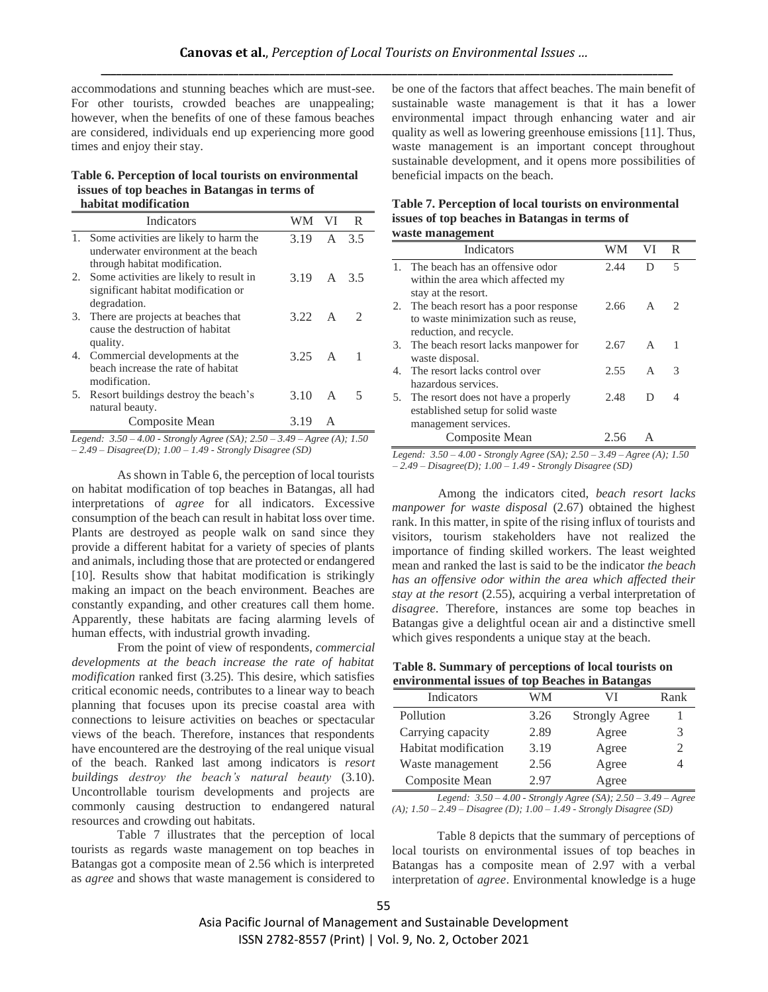accommodations and stunning beaches which are must-see. For other tourists, crowded beaches are unappealing; however, when the benefits of one of these famous beaches are considered, individuals end up experiencing more good times and enjoy their stay.

#### **Table 6. Perception of local tourists on environmental issues of top beaches in Batangas in terms of habitat modification**

|    | Indicators                                                                                                        | WM.            | VI. | R                           |
|----|-------------------------------------------------------------------------------------------------------------------|----------------|-----|-----------------------------|
|    | 1. Some activities are likely to harm the<br>underwater environment at the beach<br>through habitat modification. | 3.19 A 3.5     |     |                             |
|    | 2. Some activities are likely to result in<br>significant habitat modification or<br>degradation.                 | 3.19 $\land$   |     | 3.5                         |
| 3. | There are projects at beaches that<br>cause the destruction of habitat<br>quality.                                | 3.22 $\Delta$  |     | $\mathcal{D}_{\mathcal{L}}$ |
| 4. | Commercial developments at the<br>beach increase the rate of habitat<br>modification.                             | $3.25 \quad A$ |     |                             |
| 5. | Resort buildings destroy the beach's<br>natural beauty.                                                           | 3.10           | A   | 5                           |
|    | Composite Mean                                                                                                    | 3.19           | A   |                             |

*Legend: 3.50 – 4.00 - Strongly Agree (SA); 2.50 – 3.49 – Agree (A); 1.50 – 2.49 – Disagree(D); 1.00 – 1.49 - Strongly Disagree (SD)*

As shown in Table 6, the perception of local tourists on habitat modification of top beaches in Batangas, all had interpretations of *agree* for all indicators. Excessive consumption of the beach can result in habitat loss over time. Plants are destroyed as people walk on sand since they provide a different habitat for a variety of species of plants and animals, including those that are protected or endangered [10]. Results show that habitat modification is strikingly making an impact on the beach environment. Beaches are constantly expanding, and other creatures call them home. Apparently, these habitats are facing alarming levels of human effects, with industrial growth invading.

From the point of view of respondents, *commercial developments at the beach increase the rate of habitat modification* ranked first (3.25). This desire, which satisfies critical economic needs, contributes to a linear way to beach planning that focuses upon its precise coastal area with connections to leisure activities on beaches or spectacular views of the beach. Therefore, instances that respondents have encountered are the destroying of the real unique visual of the beach. Ranked last among indicators is *resort buildings destroy the beach's natural beauty* (3.10). Uncontrollable tourism developments and projects are commonly causing destruction to endangered natural resources and crowding out habitats.

Table 7 illustrates that the perception of local tourists as regards waste management on top beaches in Batangas got a composite mean of 2.56 which is interpreted as *agree* and shows that waste management is considered to be one of the factors that affect beaches. The main benefit of sustainable waste management is that it has a lower environmental impact through enhancing water and air quality as well as lowering greenhouse emissions [11]. Thus, waste management is an important concept throughout sustainable development, and it opens more possibilities of beneficial impacts on the beach.

#### **Table 7. Perception of local tourists on environmental issues of top beaches in Batangas in terms of waste management**

|    | <b>Indicators</b>                                                                                      | WМ   | VI.          | R                           |
|----|--------------------------------------------------------------------------------------------------------|------|--------------|-----------------------------|
|    | 1. The beach has an offensive odor<br>within the area which affected my                                | 2.44 | D            | 5                           |
|    | stay at the resort.<br>2. The beach resort has a poor response<br>to waste minimization such as reuse, | 2.66 | $\mathsf{A}$ | $\mathcal{D}_{\mathcal{A}}$ |
|    | reduction, and recycle.<br>3. The beach resort lacks manpower for<br>waste disposal.                   | 2.67 | $\mathsf{A}$ | 1                           |
| 4. | The resort lacks control over<br>hazardous services.                                                   | 2.55 | A            | 3                           |
|    | 5. The resort does not have a properly<br>established setup for solid waste                            | 2.48 | D            |                             |
|    | management services.<br>Composite Mean                                                                 | 2.56 |              |                             |

*Legend: 3.50 – 4.00 - Strongly Agree (SA); 2.50 – 3.49 – Agree (A); 1.50* 

*– 2.49 – Disagree(D); 1.00 – 1.49 - Strongly Disagree (SD)*

Among the indicators cited, *beach resort lacks manpower for waste disposal* (2.67) obtained the highest rank. In this matter, in spite of the rising influx of tourists and visitors, tourism stakeholders have not realized the importance of finding skilled workers. The least weighted mean and ranked the last is said to be the indicator *the beach has an offensive odor within the area which affected their stay at the resort* (2.55), acquiring a verbal interpretation of *disagree*. Therefore, instances are some top beaches in Batangas give a delightful ocean air and a distinctive smell which gives respondents a unique stay at the beach.

**Table 8. Summary of perceptions of local tourists on environmental issues of top Beaches in Batangas**

| Indicators           | WМ   | VI                    | Rank |  |  |  |  |
|----------------------|------|-----------------------|------|--|--|--|--|
| Pollution            | 3.26 | <b>Strongly Agree</b> |      |  |  |  |  |
| Carrying capacity    | 2.89 | Agree                 |      |  |  |  |  |
| Habitat modification | 3.19 | Agree                 |      |  |  |  |  |
| Waste management     | 2.56 | Agree                 |      |  |  |  |  |
| Composite Mean       | 2.97 | Agree                 |      |  |  |  |  |

*Legend: 3.50 – 4.00 - Strongly Agree (SA); 2.50 – 3.49 – Agree (A); 1.50 – 2.49 – Disagree (D); 1.00 – 1.49 - Strongly Disagree (SD)*

Table 8 depicts that the summary of perceptions of local tourists on environmental issues of top beaches in Batangas has a composite mean of 2.97 with a verbal interpretation of *agree*. Environmental knowledge is a huge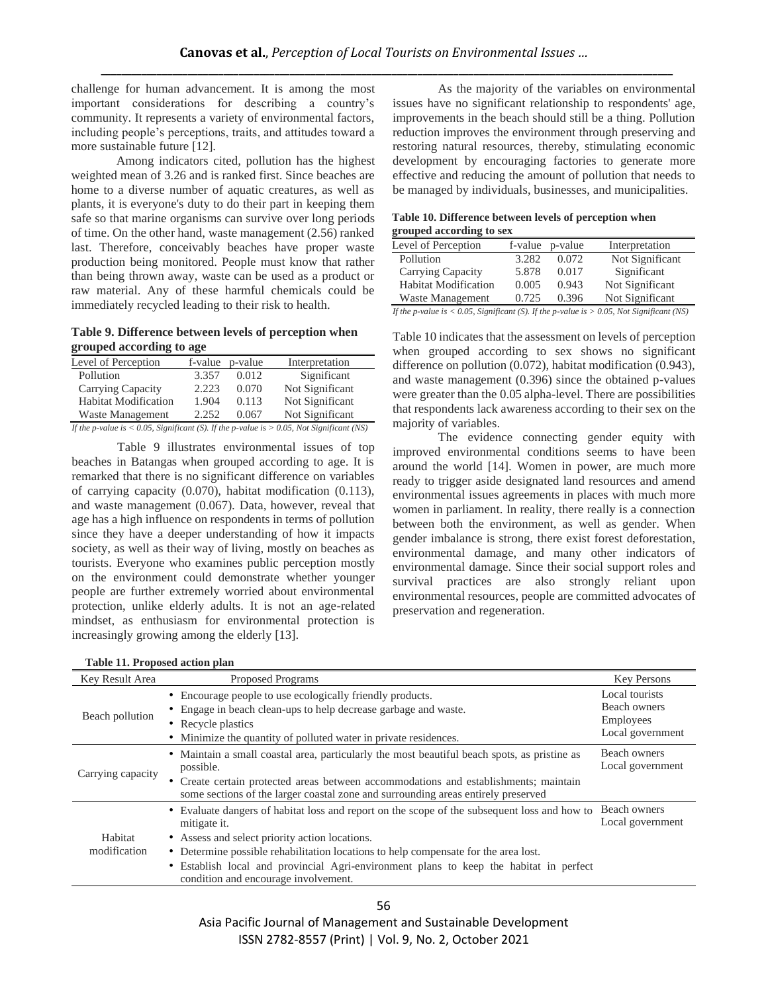challenge for human advancement. It is among the most important considerations for describing a country's community. It represents a variety of environmental factors, including people's perceptions, traits, and attitudes toward a more sustainable future [12].

Among indicators cited, pollution has the highest weighted mean of 3.26 and is ranked first. Since beaches are home to a diverse number of aquatic creatures, as well as plants, it is everyone's duty to do their part in keeping them safe so that marine organisms can survive over long periods of time. On the other hand, waste management (2.56) ranked last. Therefore, conceivably beaches have proper waste production being monitored. People must know that rather than being thrown away, waste can be used as a product or raw material. Any of these harmful chemicals could be immediately recycled leading to their risk to health.

**Table 9. Difference between levels of perception when grouped according to age**

| Level of Perception                                                                             | f-value | p-value | Interpretation  |  |  |  |
|-------------------------------------------------------------------------------------------------|---------|---------|-----------------|--|--|--|
| Pollution                                                                                       | 3.357   | 0.012   | Significant     |  |  |  |
| Carrying Capacity                                                                               | 2.223   | 0.070   | Not Significant |  |  |  |
| <b>Habitat Modification</b>                                                                     | 1.904   | 0.113   | Not Significant |  |  |  |
| Waste Management                                                                                | 2.252   | 0.067   | Not Significant |  |  |  |
| If the p-value is $< 0.05$ , Significant (S). If the p-value is $> 0.05$ , Not Significant (NS) |         |         |                 |  |  |  |

Table 9 illustrates environmental issues of top beaches in Batangas when grouped according to age. It is remarked that there is no significant difference on variables of carrying capacity (0.070), habitat modification (0.113), and waste management (0.067). Data, however, reveal that age has a high influence on respondents in terms of pollution since they have a deeper understanding of how it impacts society, as well as their way of living, mostly on beaches as tourists. Everyone who examines public perception mostly on the environment could demonstrate whether younger people are further extremely worried about environmental protection, unlike elderly adults. It is not an age-related mindset, as enthusiasm for environmental protection is increasingly growing among the elderly [13].

**Table 11. Proposed action plan**

As the majority of the variables on environmental issues have no significant relationship to respondents' age, improvements in the beach should still be a thing. Pollution reduction improves the environment through preserving and restoring natural resources, thereby, stimulating economic development by encouraging factories to generate more effective and reducing the amount of pollution that needs to be managed by individuals, businesses, and municipalities.

**Table 10. Difference between levels of perception when grouped according to sex**

| Level of Perception         |       | f-value p-value | Interpretation  |
|-----------------------------|-------|-----------------|-----------------|
| Pollution                   | 3.282 | 0.072           | Not Significant |
| Carrying Capacity           | 5.878 | 0.017           | Significant     |
| <b>Habitat Modification</b> | 0.005 | 0.943           | Not Significant |
| Waste Management            | 0.725 | 0.396           | Not Significant |
|                             |       | __              |                 |

*If the p-value is < 0.05, Significant (S). If the p-value is > 0.05, Not Significant (NS)*

Table 10 indicates that the assessment on levels of perception when grouped according to sex shows no significant difference on pollution (0.072), habitat modification (0.943), and waste management (0.396) since the obtained p-values were greater than the 0.05 alpha-level. There are possibilities that respondents lack awareness according to their sex on the majority of variables.

The evidence connecting gender equity with improved environmental conditions seems to have been around the world [14]. Women in power, are much more ready to trigger aside designated land resources and amend environmental issues agreements in places with much more women in parliament. In reality, there really is a connection between both the environment, as well as gender. When gender imbalance is strong, there exist forest deforestation, environmental damage, and many other indicators of environmental damage. Since their social support roles and survival practices are also strongly reliant upon environmental resources, people are committed advocates of preservation and regeneration.

| LADIC 11. I TOPOSCU ACTION PIAN |                                                                                                                                                                                                                                                                                                                                                                                         |                                                                 |  |  |
|---------------------------------|-----------------------------------------------------------------------------------------------------------------------------------------------------------------------------------------------------------------------------------------------------------------------------------------------------------------------------------------------------------------------------------------|-----------------------------------------------------------------|--|--|
| Key Result Area                 | <b>Proposed Programs</b>                                                                                                                                                                                                                                                                                                                                                                | <b>Key Persons</b>                                              |  |  |
| Beach pollution                 | • Encourage people to use ecologically friendly products.<br>• Engage in beach clean-ups to help decrease garbage and waste.<br>• Recycle plastics<br>• Minimize the quantity of polluted water in private residences.                                                                                                                                                                  | Local tourists<br>Beach owners<br>Employees<br>Local government |  |  |
| Carrying capacity               | • Maintain a small coastal area, particularly the most beautiful beach spots, as pristine as<br>possible.<br>• Create certain protected areas between accommodations and establishments; maintain<br>some sections of the larger coastal zone and surrounding areas entirely preserved                                                                                                  | Beach owners<br>Local government                                |  |  |
| Habitat<br>modification         | • Evaluate dangers of habitat loss and report on the scope of the subsequent loss and how to<br>mitigate it.<br>• Assess and select priority action locations.<br>• Determine possible rehabilitation locations to help compensate for the area lost.<br>• Establish local and provincial Agri-environment plans to keep the habitat in perfect<br>condition and encourage involvement. | Beach owners<br>Local government                                |  |  |

56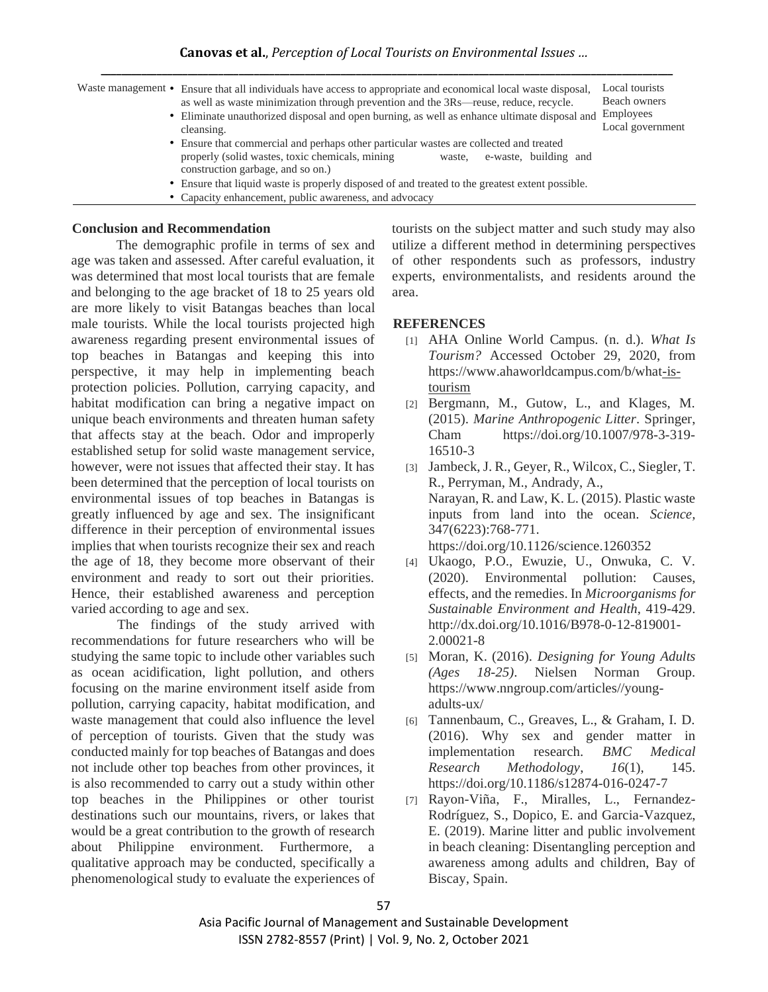| Waste management • Ensure that all individuals have access to appropriate and economical local waste disposal,<br>as well as waste minimization through prevention and the $3Rs$ —reuse, reduce, recycle. | Local tourists<br>Beach owners |  |  |  |
|-----------------------------------------------------------------------------------------------------------------------------------------------------------------------------------------------------------|--------------------------------|--|--|--|
| • Eliminate unauthorized disposal and open burning, as well as enhance ultimate disposal and Employees                                                                                                    |                                |  |  |  |
| cleansing.                                                                                                                                                                                                | Local government               |  |  |  |
| • Ensure that commercial and perhaps other particular wastes are collected and treated                                                                                                                    |                                |  |  |  |
| properly (solid wastes, toxic chemicals, mining<br>e-waste, building and<br>waste.<br>construction garbage, and so on.)                                                                                   |                                |  |  |  |
| • Ensure that liquid waste is properly disposed of and treated to the greatest extent possible.                                                                                                           |                                |  |  |  |
| • Capacity enhancement, public awareness, and advocacy                                                                                                                                                    |                                |  |  |  |

### **Conclusion and Recommendation**

The demographic profile in terms of sex and age was taken and assessed. After careful evaluation, it was determined that most local tourists that are female and belonging to the age bracket of 18 to 25 years old are more likely to visit Batangas beaches than local male tourists. While the local tourists projected high awareness regarding present environmental issues of top beaches in Batangas and keeping this into perspective, it may help in implementing beach protection policies. Pollution, carrying capacity, and habitat modification can bring a negative impact on unique beach environments and threaten human safety that affects stay at the beach. Odor and improperly established setup for solid waste management service, however, were not issues that affected their stay. It has been determined that the perception of local tourists on environmental issues of top beaches in Batangas is greatly influenced by age and sex. The insignificant difference in their perception of environmental issues implies that when tourists recognize their sex and reach the age of 18, they become more observant of their environment and ready to sort out their priorities. Hence, their established awareness and perception varied according to age and sex.

The findings of the study arrived with recommendations for future researchers who will be studying the same topic to include other variables such as ocean acidification, light pollution, and others focusing on the marine environment itself aside from pollution, carrying capacity, habitat modification, and waste management that could also influence the level of perception of tourists. Given that the study was conducted mainly for top beaches of Batangas and does not include other top beaches from other provinces, it is also recommended to carry out a study within other top beaches in the Philippines or other tourist destinations such our mountains, rivers, or lakes that would be a great contribution to the growth of research about Philippine environment. Furthermore, qualitative approach may be conducted, specifically a phenomenological study to evaluate the experiences of

tourists on the subject matter and such study may also utilize a different method in determining perspectives of other respondents such as professors, industry experts, environmentalists, and residents around the area.

# **REFERENCES**

- [1] AHA Online World Campus. (n. d.). *What Is Tourism?* Accessed October 29, 2020, from https://www.ahaworldcampus.com/b/wha[t-is](https://www.ahaworldcampus.com/b/what-is-tourism)[tourism](https://www.ahaworldcampus.com/b/what-is-tourism)
- [2] Bergmann, M., Gutow, L., and Klages, M. (2015). *Marine Anthropogenic Litter*. Springer, Cham https://doi.org/10.1007/978-3-319- 16510-3
- [3] Jambeck, J. R., Geyer, R., Wilcox, C., Siegler, T. R., Perryman, M., Andrady, A., Narayan, R. and Law, K. L. (2015). Plastic waste inputs from land into the ocean. *Science,* 347(6223):768-771. https://doi.org/10.1126/science.1260352
- [4] Ukaogo, P.O., Ewuzie, U., Onwuka, C. V. (2020). Environmental pollution: Causes, effects, and the remedies. In *Microorganisms for Sustainable Environment and Health*, 419-429. http://dx.doi.org/10.1016/B978-0-12-819001- 2.00021-8
- [5] Moran, K. (2016). *Designing for Young Adults (Ages 18-25)*. Nielsen Norman Group. https://www.nngroup.com/articles//youngadults-ux/
- [6] Tannenbaum, C., Greaves, L., & Graham, I. D. (2016). Why sex and gender matter in implementation research. *BMC Medical Research Methodology*, *16*(1), 145. https://doi.org/10.1186/s12874-016-0247-7
- [7] Rayon-Viña, F., Miralles, L., Fernandez-Rodríguez, S., Dopico, E. and Garcia-Vazquez, E. (2019). Marine litter and public involvement in beach cleaning: Disentangling perception and awareness among adults and children, Bay of Biscay, Spain.